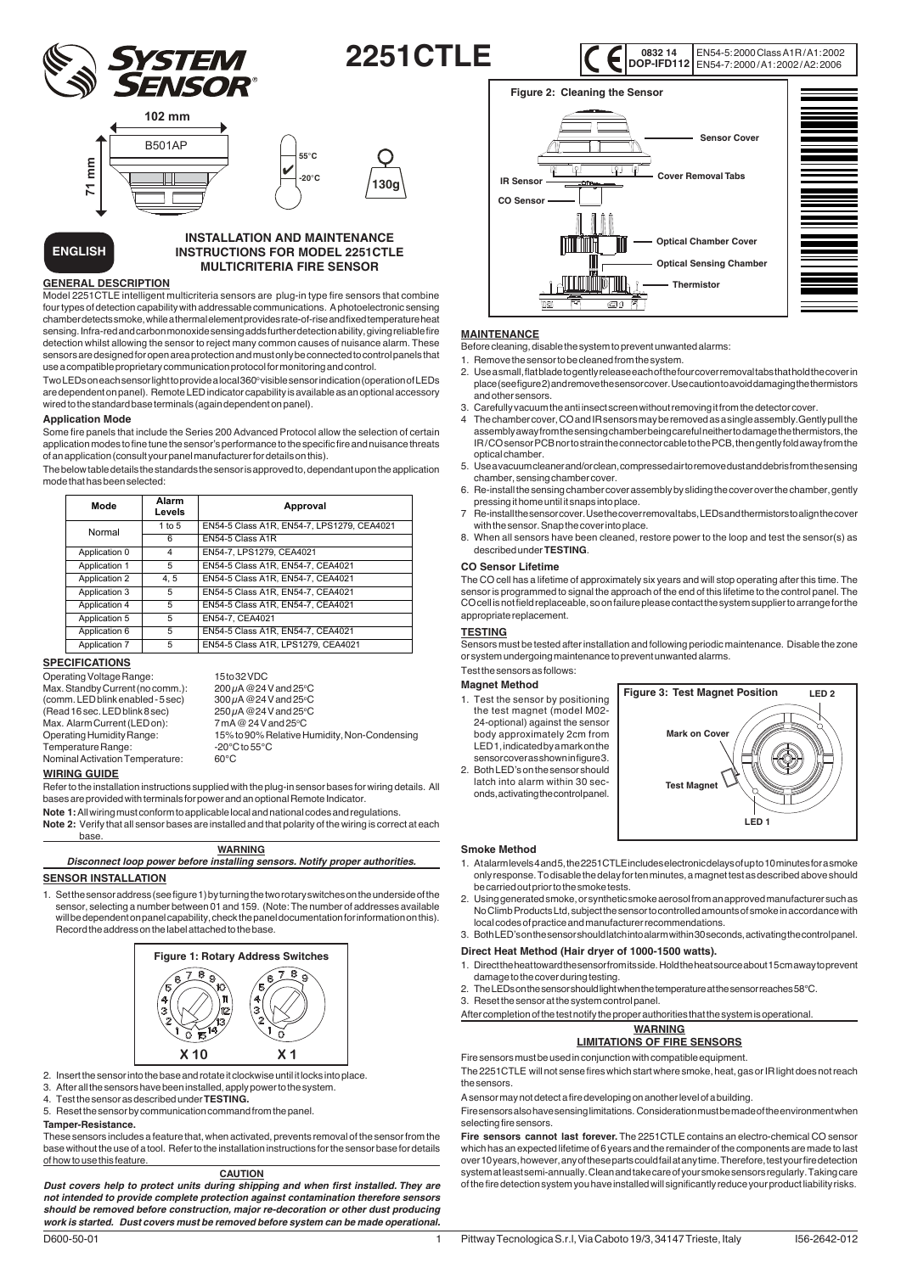

**130g**

EN54-5: 2000 Class A1R / A1: 2002 EN54-7: 2000 / A1: 2002 / A2: 2006 **0832 14 DOP-IFD112**



**ENGLISH**

# **INSTALLATION AND MAINTENANCE INSTRUCTIONS FOR MODEL 2251CTLE MULTICRITERIA FIRE SENSOR**

# **GENERAL DESCRIPTION**

Model 2251CTLE intelligent multicriteria sensors are plug-in type fire sensors that combine four types of detection capability with addressable communications. A photoelectronic sensing chamber detects smoke, while a thermal element provides rate-of-rise and fixed temperature heat sensing. Infra-red and carbon monoxide sensing adds further detection ability, giving reliable fire detection whilst allowing the sensor to reject many common causes of nuisance alarm. These sensors are designed for open area protection and must only be connected to control panels that use a compatible proprietary communication protocol for monitoring and control.

 $Two LEDs one can sensor light to provide a local 360° visible sensor indicator (operation of LEDs$ are dependent on panel). Remote LED indicator capability is available as an optional accessory wired to the standard base terminals (again dependent on panel).

#### **Application Mode**

Some fire panels that include the Series 200 Advanced Protocol allow the selection of certain application modes to fine tune the sensor's performance to the specific fire and nuisance threats of an application (consult your panel manufacturer for details on this).

The below table details the standards the sensor is approved to, dependant upon the application mode that has been selected:

| Mode          | Alarm<br>Levels | Approval                                   |
|---------------|-----------------|--------------------------------------------|
| Normal        | 1 to 5          | EN54-5 Class A1R, EN54-7, LPS1279, CEA4021 |
|               | 6               | EN54-5 Class A1R                           |
| Application 0 | 4               | EN54-7, LPS1279, CEA4021                   |
| Application 1 | 5               | EN54-5 Class A1R, EN54-7, CEA4021          |
| Application 2 | 4.5             | EN54-5 Class A1R, EN54-7, CEA4021          |
| Application 3 | 5               | EN54-5 Class A1R, EN54-7, CEA4021          |
| Application 4 | 5               | EN54-5 Class A1R, EN54-7, CEA4021          |
| Application 5 | 5               | EN54-7, CEA4021                            |
| Application 6 | 5               | EN54-5 Class A1R, EN54-7, CEA4021          |
| Application 7 | 5               | EN54-5 Class A1R, LPS1279, CEA4021         |

 $200 \mu A @ 24 V and 25°C$ 

 $300\mu$ A @ 24 V and 25°C

 $250 \mu$ A @24 V and 25°C

15% to 90% Relative Humidity, Non-Condensing<br>-20°C to 55°C

 $7mA @ 24 V and 25°C$ 

# **SPECIFICATIONS**

Operating Voltage Range: 15 to 32 VDC Max. Standby Current (no comm.): 200 µA @24 V and 25<sup>o</sup>  $(comm. LED$  blink enabled - 5 sec)  $(Read 16 sec. LED blink 8 sec)$ Max. Alarm Current (LED on):<br>Operating Humidity Range: Temperature Range: Nominal Activation Temperature: 60°C

#### **WIRING GUIDE**

Refer to the installation instructions supplied with the plug-in sensor bases for wiring details. All bases are provided with terminals for power and an optional Remote Indicator.

**Note 1:** All wiring must conform to applicable local and national codes and regulations.

**Note 2:** Verify that all sensor bases are installed and that polarity of the wiring is correct at each base.

| <b>WARNING</b>                                                              |
|-----------------------------------------------------------------------------|
| Disconnect loop power before installing sensors. Notify proper authorities. |
| . <b>. .</b>                                                                |

### **SENSOR INSTALLATION**

Set the sensor address (see figure 1) by turning the two rotary switches on the underside of the sensor, selecting a number between 01 and 159. (Note: The number of addresses available will be dependent on panel capability, check the panel documentation for information on this). Record the address on the label attached to the base.



- 2. Insert the sensor into the base and rotate it clockwise until it locks into place.
- 3. After all the sensors have been installed, apply power to the system.
- 4. Test the sensor as described under **TESTING.**
- 5. Reset the sensor by communication command from the panel.

#### **Tamper-Resistance.**

These sensors includes a feature that, when activated, prevents removal of the sensor from the base without the use of a tool. Refer to the installation instructions for the sensor base for details of how to use this feature.

# **CAUTION**

*Dust covers help to protect units during shipping and when first installed. They are not intended to provide complete protection against contamination therefore sensors should be removed before construction, major re-decoration or other dust producing work is started. Dust covers must be removed before system can be made operational.*



### **MAINTENANCE**

Before cleaning, disable the system to prevent unwanted alarms:

1. Remove the sensor to be cleaned from the system.

- 2. Use a small, flat blade to gently release each of the four cover removal tabs that hold the cover in place (see figure 2) and remove the sensor cover. Use caution to avoid damaging the thermistors and other sensors.
- 3. Carefully vacuum the anti insect screen without removing it from the detector cover.
- The chamber cover, CO and IR sensors may be removed as a single assembly. Gently pull the assembly away from the sensing chamber being careful neither to damage the thermistors, the IR / CO sensor PCB nor to strain the connector cable to the PCB, then gently fold away from the optical chamber.
- 5. Use a vacuum cleaner and/or clean, compressed air to remove dust and debris from the sensing chamber, sensing chamber cover.
- 6. Re-install the sensing chamber cover assembly by sliding the cover over the chamber, gently pressing it home until it snaps into place.
- 7 Re-install the sensor cover. Use the cover removal tabs, LEDs and thermistors to align the cover with the sensor. Snap the cover into place.
- 8. When all sensors have been cleaned, restore power to the loop and test the sensor(s) as described under **TESTING**.

#### **CO Sensor Lifetime**

The CO cell has a lifetime of approximately six years and will stop operating after this time. The sensor is programmed to signal the approach of the end of this lifetime to the control panel. The CO cell is not field replaceable, so on failure please contact the system supplier to arrange for the appropriate replacement.

#### **TESTING**

Sensors must be tested after installation and following periodic maintenance. Disable the zone or system undergoing maintenance to prevent unwanted alarms.

# Test the sensors as follows:

- **Magnet Method** 1. Test the sensor by positioning
- the test magnet (model M02- 24-optional) against the sensor body approximately 2cm from LED 1, indicated by a mark on the sensor cover as shown in figure 3. 2. Both LED's on the sensor should latch into alarm within 30 sec
	- onds, activating the control panel.



#### **Smoke Method**

1

- 1. At alarm levels 4 and 5, the 2251CTLE includes electronic delays of up to 10 minutes for a smoke only response. To disable the delay for ten minutes, a magnet test as described above should be carried out prior to the smoke tests.
- 2. Using generated smoke, or synthetic smoke aerosol from an approved manufacturer such as No Climb Products Ltd, subject the sensor to controlled amounts of smoke in accordance with local codes of practice and manufacturer recommendations.

# 3. Both LED's on the sensor should latch into alarm within 30 seconds, activating the control panel.

- **Direct Heat Method (Hair dryer of 1000-1500 watts).**
- 1. Direct the heat toward the sensor from its side. Hold the heat source about 15 cm away to prevent damage to the cover during testing.
- 2. The LEDs on the sensor should light when the temperature at the sensor reaches 58°C.<br>3. Reset the sensor at the system control panel.
- Reset the sensor at the system control panel.
- After completion of the test notify the proper authorities that the system is operational.

# **WARNING LIMITATIONS OF FIRE SENSORS**

Fire sensors must be used in conjunction with compatible equipment.

The 2251CTLE will not sense fires which start where smoke, heat, gas or IR light does not reach the sensors.

A sensor may not detect a fire developing on another level of a building.

Fire sensors also have sensing limitations. Consideration must be made of the environment when selecting fire sensors.

**Fire sensors cannot last forever.** The 2251CTLE contains an electro-chemical CO sensor which has an expected lifetime of 6 years and the remainder of the components are made to last over 10 years, however, any of these parts could fail at any time. Therefore, test your fire detection system at least semi-annually. Clean and take care of your smoke sensors regularly. Taking care of the fire detection system you have installed will significantly reduce your product liability risks.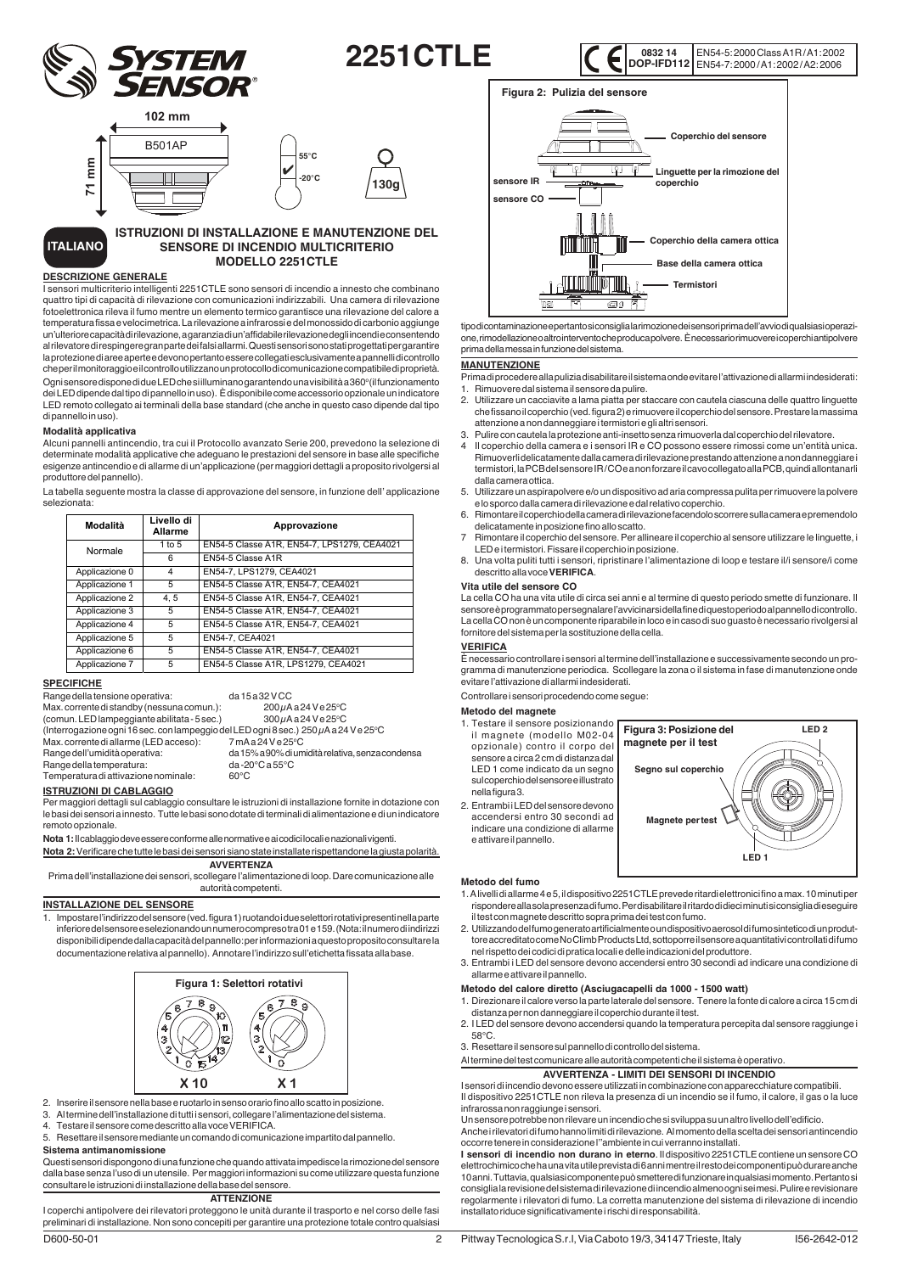

EN54-5: 2000 Class A1R / A1: 2002 EN54-7: 2000 / A1: 2002 / A2: 2006 **0832 14 DOP-IFD112**



#### **ITALIANO ISTRUZIONI DI INSTALLAZIONE E MANUTENZIONE DEL SENSORE DI INCENDIO MULTICRITERIO MODELLO 2251CTLE**

#### **DESCRIZIONE GENERALE**

I sensori multicriterio intelligenti 2251CTLE sono sensori di incendio a innesto che combinano quattro tipi di capacità di rilevazione con comunicazioni indirizzabili. Una camera di rilevazione fotoelettronica rileva il fumo mentre un elemento termico garantisce una rilevazione del calore a temperatura fissa e velocimetrica. La rilevazione a infrarossi e del monossido di carbonio aggiunge un'ulteriore capacità di rilevazione, a garanzia di un'affidabile rilevazione degli incendi e consentendo al rilevatore di respingere gran parte dei falsi allarmi. Questi sensori sono stati progettati per garantire la protezione di aree aperte e devono pertanto essere collegati esclusivamente a pannelli di controllo che per il monitoraggio e il controllo utilizzano un protocollo di comunicazione compatibile di proprietà. Ogni sensore dispone di due LED che si illuminano garantendo una visibilità a 360° (il funzionamento dei LED dipende dal tipo di pannello in uso). È disponibile come accessorio opzionale un indicatore LED remoto collegato ai terminali della base standard (che anche in questo caso dipende dal tipo di pannello in uso).

#### **Modalità applicativa**

Alcuni pannelli antincendio, tra cui il Protocollo avanzato Serie 200, prevedono la selezione di determinate modalità applicative che adeguano le prestazioni del sensore in base alle specifiche esigenze antincendio e di allarme di un'applicazione (per maggiori dettagli a proposito rivolgersi al produttore del pannello).

La tabella seguente mostra la classe di approvazione del sensore, in funzione dell' applicazione selezionata:

| Modalità       | Livello di<br>Allarme | Approvazione                                |
|----------------|-----------------------|---------------------------------------------|
| Normale        | 1 to $5$              | EN54-5 Classe A1R, EN54-7, LPS1279, CEA4021 |
|                | 6                     | EN54-5 Classe A1R                           |
| Applicazione 0 | 4                     | EN54-7, LPS1279, CEA4021                    |
| Applicazione 1 | 5                     | EN54-5 Classe A1R, EN54-7, CEA4021          |
| Applicazione 2 | 4.5                   | EN54-5 Classe A1R, EN54-7, CEA4021          |
| Applicazione 3 | 5                     | EN54-5 Classe A1R, EN54-7, CEA4021          |
| Applicazione 4 | 5                     | EN54-5 Classe A1R, EN54-7, CEA4021          |
| Applicazione 5 | 5                     | EN54-7, CEA4021                             |
| Applicazione 6 | 5                     | EN54-5 Classe A1R, EN54-7, CEA4021          |
| Applicazione 7 | 5                     | EN54-5 Classe A1R, LPS1279, CEA4021         |

# **SPECIFICHE**

Range della tensione operativa: da 15 a 32 V CC Max. corrente di standby (nessuna comun.):  $200\mu$ Aa24Ve25°C  $(comun. LED lampeqqiante abilitata -  $5 \text{ sec.}$ )$ 300µAa24Ve25°C (Interrogazione ogni 16 sec. con lampeggio del LED ogni 8 sec.) 250 µA a 24 V e 25°C Max. corrente di allarme (LED acceso):<br>Range dell'umidità operativa: 7mAa24Ve25°C

Range della temperatura: da -2<br>Temperatura di attivazione nominale: 60°C Temperatura di attivazione nominale:

# **ISTRUZIONI DI CABLAGGIO**

Per maggiori dettagli sul cablaggio consultare le istruzioni di installazione fornite in dotazione con le basi dei sensori a innesto. Tutte le basi sono dotate di terminali di alimentazione e di un indicatore remoto opzionale.

**Nota 1:** Il cablaggio deve essere conforme alle normative e ai codici locali e nazionali vigenti.

**Nota 2:** Verificare che tutte le basi dei sensori siano state installate rispettandone la giusta polarità. **AVVERTENZA**

Prima dell'installazione dei sensori, scollegare l'alimentazione di loop. Dare comunicazione alle autorità competenti.

#### **INSTALLAZIONE DEL SENSORE**

1. Impostare l'indirizzo del sensore (ved. figura 1) ruotando i due selettori rotativi presenti nella parte inferiore del sensore e selezionando un numero compreso tra 01 e 159. (Nota: il numero di indirizzi disponibili dipende dalla capacità del pannello: per informazioni a questo proposito consultare la documentazione relativa al pannello). Annotare l'indirizzo sull'etichetta fissata alla base.



- 2. Inserire il sensore nella base e ruotarlo in senso orario fino allo scatto in posizione.
- 
- 3. Al termine dell'installazione di tutti i sensori, collegare l'alimentazione del sistema. 4. Testare il sensore come descritto alla voce VERIFICA.
- 5. Resettare il sensore mediante un comando di comunicazione impartito dal pannello.

# **Sistema antimanomissione**

Questi sensori dispongono di una funzione che quando attivata impedisce la rimozione del sensore dalla base senza l'uso di un utensile. Per maggiori informazioni su come utilizzare questa funzione consultare le istruzioni di installazione della base del sensore.

### **ATTENZIONE**

I coperchi antipolvere dei rilevatori proteggono le unità durante il trasporto e nel corso delle fasi preliminari di installazione. Non sono concepiti per garantire una protezione totale contro qualsiasi



tipo di contaminazione e pertanto si consiglia la rimozione dei sensori prima dell'avvio di qualsiasi operazione, rimodellazione o altro intervento che produca polvere. È necessario rimuovere i coperchi antipolvere prima della messa in funzione del sistema.

#### **MANUTENZIONE**

- Prima di procedere alla pulizia disabilitare il sistema onde evitare l'attivazione di allarmi indesiderati: 1. Rimuovere dal sistema il sensore da pulire.
- 2. Utilizzare un cacciavite a lama piatta per staccare con cautela ciascuna delle quattro linguette che fissano il coperchio (ved. figura 2) e rimuovere il coperchio del sensore. Prestare la massima attenzione a non danneggiare i termistori e gli altri sensori.
- 3. Pulire con cautela la protezione anti-insetto senza rimuoverla dal coperchio del rilevatore.
- 4 Il coperchio della camera e i sensori IR e CO possono essere rimossi come un'entità unica. Rimuoverli delicatamente dalla camera di rilevazione prestando attenzione a non danneggiare i termistori, la PCB del sensore IR / CO e a non forzare il cavo collegato alla PCB, quindi allontanarli dalla camera ottica.
- 5. Utilizzare un aspirapolvere e/o un dispositivo ad aria compressa pulita per rimuovere la polvere e lo sporco dalla camera di rilevazione e dal relativo coperchio.
- 6. Rimontare il coperchio della camera di rilevazione facendolo scorrere sulla camera e premendolo delicatamente in posizione fino allo scatto.
- 7 Rimontare il coperchio del sensore. Per allineare il coperchio al sensore utilizzare le linguette, i LED e i termistori. Fissare il coperchio in posizione.
- 8. Una volta puliti tutti i sensori, ripristinare l'alimentazione di loop e testare il/i sensore/i come descritto alla voce **VERIFICA**.

#### **Vita utile del sensore CO**

La cella CO ha una vita utile di circa sei anni e al termine di questo periodo smette di funzionare. Il sensore è programmato per segnalare l'avvicinarsi della fine di questo periodo al pannello di controllo. La cella CO non è un componente riparabile in loco e in caso di suo guasto è necessario rivolgersi al fornitore del sistema per la sostituzione della cella.

# **VERIFICA**

È necessario controllare i sensori al termine dell'installazione e successivamente secondo un programma di manutenzione periodica. Scollegare la zona o il sistema in fase di manutenzione onde evitare l'attivazione di allarmi indesiderati.

Controllare i sensori procedendo come segue:

#### **Metodo del magnete**

- 1. Testare il sensore posizionando il magnete (modello M02-04 opzionale) contro il corpo del sensore a circa 2 cm di distanza dal LED 1 come indicato da un segno sul coperchio del sensore e illustrato nella figura 3.
- 2. Entrambi i LED del sensore devono accendersi entro 30 secondi ad indicare una condizione di allarme e attivare il pannello.



#### **Metodo del fumo**

2

- 1. A livelli di allarme 4 e 5, il dispositivo 2251CTLE prevede ritardi elettronici fino a max. 10 minuti per rispondere alla sola presenza di fumo. Per disabilitare il ritardo di dieci minuti si consiglia di eseguire il test con magnete descritto sopra prima dei test con fumo.
- 2. Utilizzando del fumo generato artificialmente o un dispositivo aerosol di fumo sintetico di un produttore accreditato come No Climb Products Ltd, sottoporre il sensore a quantitativi controllati di fumo nel rispetto dei codici di pratica locali e delle indicazioni del produttore.
- 3. Entrambi i LED del sensore devono accendersi entro 30 secondi ad indicare una condizione di allarme e attivare il pannello.

#### **Metodo del calore diretto (Asciugacapelli da 1000 - 1500 watt)**

- 1. Direzionare il calore verso la parte laterale del sensore. Tenere la fonte di calore a circa 15 cm di distanza per non danneggiare il coperchio durante il test.
- 2. I LED del sensore devono accendersi quando la temperatura percepita dal sensore raggiunge i 58°C.
- 3. Resettare il sensore sul pannello di controllo del sistema.
- Al termine del test comunicare alle autorità competenti che il sistema è operativo.
	- **AVVERTENZA LIMITI DEI SENSORI DI INCENDIO**

I sensori di incendio devono essere utilizzati in combinazione con apparecchiature compatibili. Il dispositivo 2251CTLE non rileva la presenza di un incendio se il fumo, il calore, il gas o la luce infrarossa non raggiunge i sensori.

Un sensore potrebbe non rilevare un incendio che si sviluppa su un altro livello dell'edificio.

Anche i rilevatori di fumo hanno limiti di rilevazione. Al momento della scelta dei sensori antincendio occorre tenere in considerazione l''ambiente in cui verranno installati.

**I sensori di incendio non durano in eterno**. Il dispositivo 2251CTLE contiene un sensore CO elettrochimico che ha una vita utile prevista di 6 anni mentre il resto dei componenti può durare anche 10 anni. Tuttavia, qualsiasi componente può smettere di funzionare in qualsiasi momento. Pertanto si consiglia la revisione del sistema di rilevazione di incendio almeno ogni sei mesi. Pulire e revisionare regolarmente i rilevatori di fumo. La corretta manutenzione del sistema di rilevazione di incendio installato riduce significativamente i rischi di responsabilità.

da 15% a 90% di umidità relativa, senza condensa<br>da -20°C a 55°C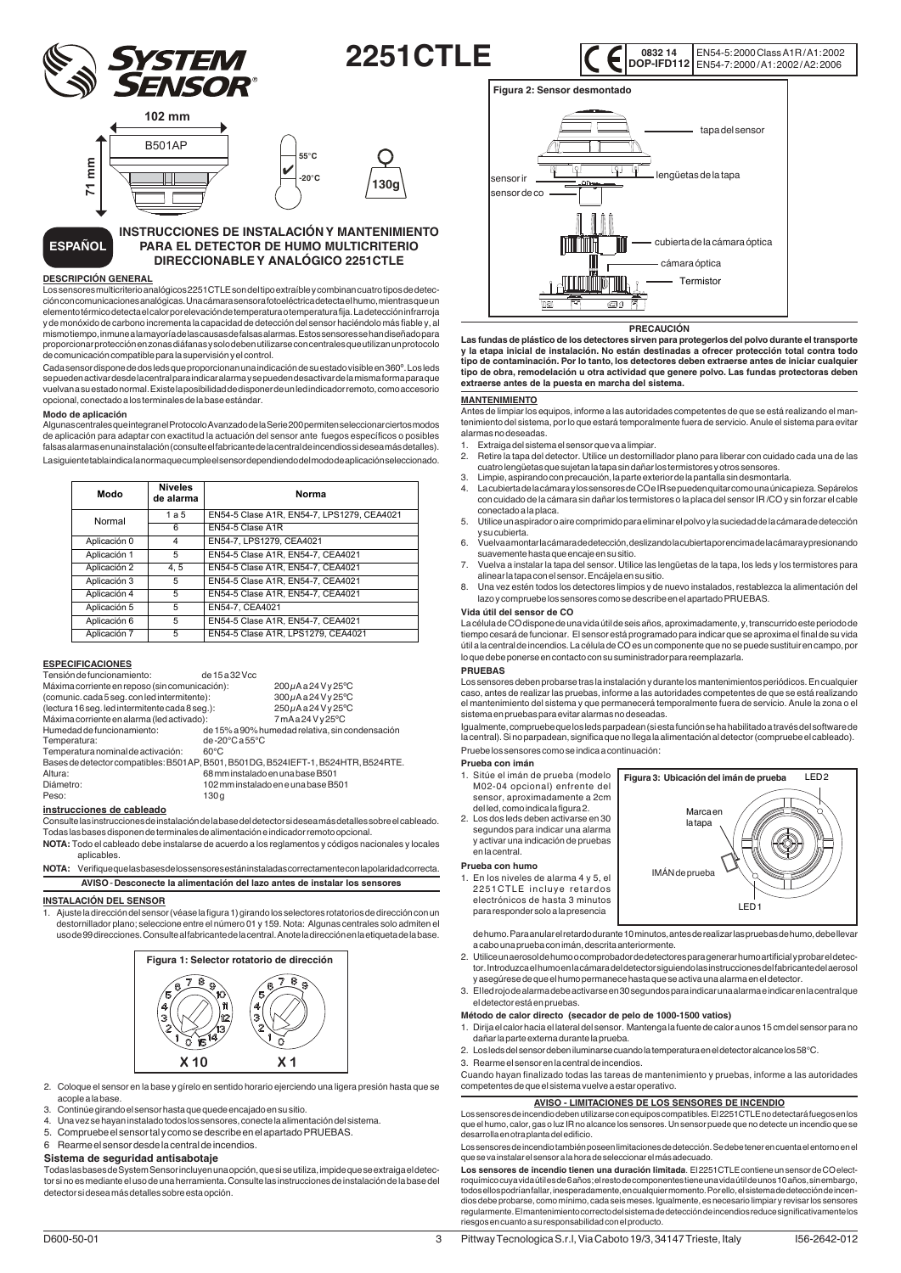

EN54-5: 2000 Class A1R / A1: 2002 EN54-7: 2000 / A1: 2002 / A2: 2006 **0832 14 DOP-IFD112**



# **INSTRUCCIONES DE INSTALACIÓN Y MANTENIMIENTO PARA EL DETECTOR DE HUMO MULTICRITERIO DIRECCIONABLE Y ANALÓGICO 2251CTLE**

#### **DESCRIPCIÓN GENERAL**

**ESPAÑOL**

Los sensores multicriterio analógicos 2251CTLE son del tipo extraíble y combinan cuatro tipos de detección con comunicaciones analógicas. Una cámara sensora fotoeléctrica detecta el humo, mientras que un elemento térmico detecta el calor por elevación de temperatura o temperatura fija. La detección infrarroja y de monóxido de carbono incrementa la capacidad de detección del sensor haciéndolo más fiable y, al mismo tiempo, inmune a la mayoría de las causas de falsas alarmas. Estos sensores se han diseñado para proporcionar protección en zonas diáfanas y solo deben utilizarse con centrales que utilizan un protocolo de comunicación compatible para la supervisión y el control.

Cada sensor dispone de dos leds que proporcionan una indicación de su estado visible en 360º. Los leds se pueden activar desde la central para indicar alarma y se pueden desactivar de la misma forma para que vuelvan a su estado normal. Existe la posibilidad de disponer de un led indicador remoto, como accesorio opcional, conectado a los terminales de la base estándar.

#### **Modo de aplicación**

Algunas centrales que integran el Protocolo Avanzado de la Serie 200 permiten seleccionar ciertos modos de aplicación para adaptar con exactitud la actuación del sensor ante fuegos específicos o posibles falsas alarmas en una instalación (consulte el fabricante de la central de incendios si desea más detalles). La siguiente tabla indica la norma que cumple el sensor dependiendo del modo de aplicación seleccionado.

| Modo         | <b>Niveles</b><br>de alarma | Norma                                      |
|--------------|-----------------------------|--------------------------------------------|
| Normal       | 1a5                         | EN54-5 Clase A1R, EN54-7, LPS1279, CEA4021 |
|              | 6                           | EN54-5 Clase A1R                           |
| Aplicación 0 | 4                           | EN54-7. LPS1279. CEA4021                   |
| Aplicación 1 | 5                           | EN54-5 Clase A1R, EN54-7, CEA4021          |
| Aplicación 2 | 4.5                         | EN54-5 Clase A1R, EN54-7, CEA4021          |
| Aplicación 3 | 5                           | EN54-5 Clase A1R, EN54-7, CEA4021          |
| Aplicación 4 | 5                           | EN54-5 Clase A1R, EN54-7, CEA4021          |
| Aplicación 5 | 5                           | EN54-7, CEA4021                            |
| Aplicación 6 | 5                           | EN54-5 Clase A1R, EN54-7, CEA4021          |
| Aplicación 7 | 5                           | EN54-5 Clase A1R, LPS1279, CEA4021         |

#### **ESPECIFICACIONES**

| Tensión de funcionamiento:                                                         | de 15 a 32 Vcc                     |                                                 |
|------------------------------------------------------------------------------------|------------------------------------|-------------------------------------------------|
| Máxima corriente en reposo (sin comunicación):                                     |                                    | 200µAa24Vy25°C                                  |
| (comunic.cada5seq.conledintermitente):                                             |                                    | 300µAa24Vy25°C                                  |
| (lectura 16 seg. led intermitente cada 8 seg.):                                    |                                    | 250µAa24Vy25°C                                  |
| Máxima corriente en alarma (led activado):                                         |                                    | 7mAa24Vy25°C                                    |
| Humedad de funcionamiento:                                                         |                                    | de 15% a 90% humedad relativa, sin condensación |
| Temperatura:                                                                       | de-20 $^{\circ}$ Ca55 $^{\circ}$ C |                                                 |
| Temperatura nominal de activación:                                                 | $60^{\circ}$ C                     |                                                 |
| Bases de detector compatibles: B501AP, B501, B501DG, B524IEFT-1, B524HTR, B524RTE. |                                    |                                                 |
| Altura:                                                                            | 68 mm instalado en una base B501   |                                                 |
| Diámetro:                                                                          |                                    | 102 mm instalado en e una base B501             |
| Peso:                                                                              | 130q                               |                                                 |

#### **instrucciones de cableado**

Consulte las instrucciones de instalación de la base del detector si desea más detalles sobre el cableado. Todas las bases disponen de terminales de alimentación e indicador remoto opcional.

**NOTA:** Todo el cableado debe instalarse de acuerdo a los reglamentos y códigos nacionales y locales aplicables.

NOTA: Verifique que las bases de los sensores están instaladas correctamente con la polaridad correcta. **AVISO** - **Desconecte la alimentación del lazo antes de instalar los sensores**

# **INSTALACIÓN DEL SENSOR**

1. Ajuste la dirección del sensor (véase la figura 1) girando los selectores rotatorios de dirección con un destornillador plano; seleccione entre el número 01 y 159. Nota: Algunas centrales solo admiten el uso de 99 direcciones. Consulte al fabricante de la central. Anote la dirección en la etiqueta de la base.



2. Coloque el sensor en la base y gírelo en sentido horario ejerciendo una ligera presión hasta que se acople a la base.

- 
- 3. Continúe girando el sensor hasta que quede encajado en su sitio. 4. Una vez se hayan instalado todos los sensores, conecte la alimentación del sistema.
- 5. Compruebe el sensor tal y como se describe en el apartado PRUEBAS.

#### 6 Rearme el sensor desde la central de incendios.

# **Sistema de seguridad antisabotaje**

Todas las bases de System Sensor incluyen una opción, que si se utiliza, impide que se extraiga el detector si no es mediante el uso de una herramienta. Consulte las instrucciones de instalación de la base del detector si desea más detalles sobre esta opción.



# **PRECAUCIÓN**

**Las fundas de plástico de los detectores sirven para protegerlos del polvo durante el transporte y la etapa inicial de instalación. No están destinadas a ofrecer protección total contra todo tipo de contaminación. Por lo tanto, los detectores deben extraerse antes de iniciar cualquier tipo de obra, remodelación u otra actividad que genere polvo. Las fundas protectoras deben extraerse antes de la puesta en marcha del sistema.**

#### **MANTENIMIENTO**

Antes de limpiar los equipos, informe a las autoridades competentes de que se está realizando el mantenimiento del sistema, por lo que estará temporalmente fuera de servicio. Anule el sistema para evitar alarmas no deseadas.

- 
- 1. Extraiga del sistema el sensor que va a limpiar. 2. Retire la tapa del detector. Utilice un destornillador plano para liberar con cuidado cada una de las cuatro lengüetas que sujetan la tapa sin dañar los termistores y otros sensores.
- 
- 3. Limpie, aspirando con precaución, la parte exterior de la pantalla sin desmontarla. 4. La cubierta de la cámara y los sensores de CO e IR se pueden quitar como una única pieza. Sepárelos con cuidado de la cámara sin dañar los termistores o la placa del sensor IR /CO y sin forzar el cable conectado a la placa.
- 5. Utilice un aspirador o aire comprimido para eliminar el polvo y la suciedad de la cámara de detección y su cubierta.
- 6. Vuelva a montar la cámara de detección, deslizando la cubierta por encima de la cámara y presionando
- suavemente hasta que encaje en su sitio. 7. Vuelva a instalar la tapa del sensor. Utilice las lengüetas de la tapa, los leds y los termistores para alinear la tapa con el sensor. Encájela en su sitio.
- 8. Una vez estén todos los detectores limpios y de nuevo instalados, restablezca la alimentación del lazo y compruebe los sensores como se describe en el apartado PRUEBAS.

#### **Vida útil del sensor de CO**

La célula de CO dispone de una vida útil de seis años, aproximadamente, y, transcurrido este periodo de tiempo cesará de funcionar. El sensor está programado para indicar que se aproxima el final de su vida útil a la central de incendios. La célula de CO es un componente que no se puede sustituir en campo, por lo que debe ponerse en contacto con su suministrador para reemplazarla.

#### **PRUEBAS**

Los sensores deben probarse tras la instalación y durante los mantenimientos periódicos. En cualquier caso, antes de realizar las pruebas, informe a las autoridades competentes de que se está realizando el mantenimiento del sistema y que permanecerá temporalmente fuera de servicio. Anule la zona o el sistema en pruebas para evitar alarmas no deseadas.

Igualmente, compruebe que los leds parpadean (si esta función se ha habilitado a través del software de la central). Si no parpadean, significa que no llega la alimentación al detector (compruebe el cableado). Pruebe los sensores como se indica a continuación:

#### **Prueba con imán**

- 1. Sitúe el imán de prueba (modelo M02-04 opcional) enfrente del sensor, aproximadamente a 2cm del led, como indica la figura 2.
- 2. Los dos leds deben activarse en 30 segundos para indicar una alarma y activar una indicación de pruebas en la central.

#### **Prueba con humo**

3

1. En los niveles de alarma 4 y 5, el 2251 CTLE incluve retardos electrónicos de hasta 3 minutos para responder solo a la presencia



de humo. Para anular el retardo durante 10 minutos, antes de realizar las pruebas de humo, debe llevar a cabo una prueba con imán, descrita anteriormente.

- 2. Utilice un aerosol de humo o comprobador de detectores para generar humo artificial y probar el detector. Introduzca el humo en la cámara del detector siguiendo las instrucciones del fabricante del aerosol y asegúrese de que el humo permanece hasta que se activa una alarma en el detector.
- 3. El led rojo de alarma debe activarse en 30 segundos para indicar una alarma e indicar en la central que el detector está en pruebas.

#### **Método de calor directo (secador de pelo de 1000-1500 vatios)**

- 1. Dirija el calor hacia el lateral del sensor. Mantenga la fuente de calor a unos 15 cm del sensor para no dañar la parte externa durante la prueba.
- 2. Los leds del sensor deben iluminarse cuando la temperatura en el detector alcance los 58°C.
- 3. Rearme el sensor en la central de incendios.

Cuando hayan finalizado todas las tareas de mantenimiento y pruebas, informe a las autoridades competentes de que el sistema vuelve a estar operativo.

#### **AVISO - LIMITACIONES DE LOS SENSORES DE INCENDIO**

Los sensores de incendio deben utilizarse con equipos compatibles. El 2251CTLE no detectará fuegos en los que el humo, calor, gas o luz IR no alcance los sensores. Un sensor puede que no detecte un incendio que se desarrolla en otra planta del edificio.

Los sensores de incendio también poseen limitaciones de detección. Se debe tener en cuenta el entorno en el que se va instalar el sensor a la hora de seleccionar el más adecuado.

Los sensores de incendio tienen una duración limitada. El 2251CTLE contiene un sensor de CO electroquímico cuya vida útil es de 6 años; el resto de componentes tiene una vida útil de unos 10 años, sin embargo, todos ellos podrían fallar, inesperadamente, en cualquier momento. Por ello, el sistema de detección de incen-dios debe probarse, como mínimo, cada seis meses. Igualmente, es necesario limpiar y revisar los sensores regularmente. El mantenimiento correcto del sistema de detección de incendios reduce significativamente los riesgos en cuanto a su responsabilidad con el producto.